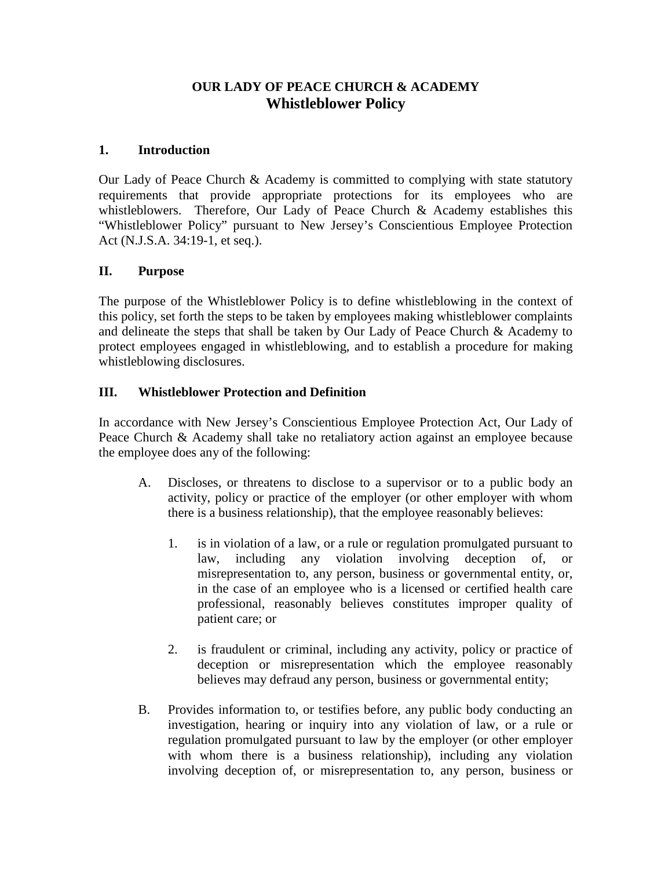# **OUR LADY OF PEACE CHURCH & ACADEMY Whistleblower Policy**

#### **1. Introduction**

Our Lady of Peace Church & Academy is committed to complying with state statutory requirements that provide appropriate protections for its employees who are whistleblowers. Therefore, Our Lady of Peace Church & Academy establishes this "Whistleblower Policy" pursuant to New Jersey's Conscientious Employee Protection Act (N.J.S.A. 34:19-1, et seq.).

## **II. Purpose**

The purpose of the Whistleblower Policy is to define whistleblowing in the context of this policy, set forth the steps to be taken by employees making whistleblower complaints and delineate the steps that shall be taken by Our Lady of Peace Church & Academy to protect employees engaged in whistleblowing, and to establish a procedure for making whistleblowing disclosures.

## **III. Whistleblower Protection and Definition**

In accordance with New Jersey's Conscientious Employee Protection Act, Our Lady of Peace Church & Academy shall take no retaliatory action against an employee because the employee does any of the following:

- A. Discloses, or threatens to disclose to a supervisor or to a public body an activity, policy or practice of the employer (or other employer with whom there is a business relationship), that the employee reasonably believes:
	- 1. is in violation of a law, or a rule or regulation promulgated pursuant to law, including any violation involving deception of, or misrepresentation to, any person, business or governmental entity, or, in the case of an employee who is a licensed or certified health care professional, reasonably believes constitutes improper quality of patient care; or
	- 2. is fraudulent or criminal, including any activity, policy or practice of deception or misrepresentation which the employee reasonably believes may defraud any person, business or governmental entity;
- B. Provides information to, or testifies before, any public body conducting an investigation, hearing or inquiry into any violation of law, or a rule or regulation promulgated pursuant to law by the employer (or other employer with whom there is a business relationship), including any violation involving deception of, or misrepresentation to, any person, business or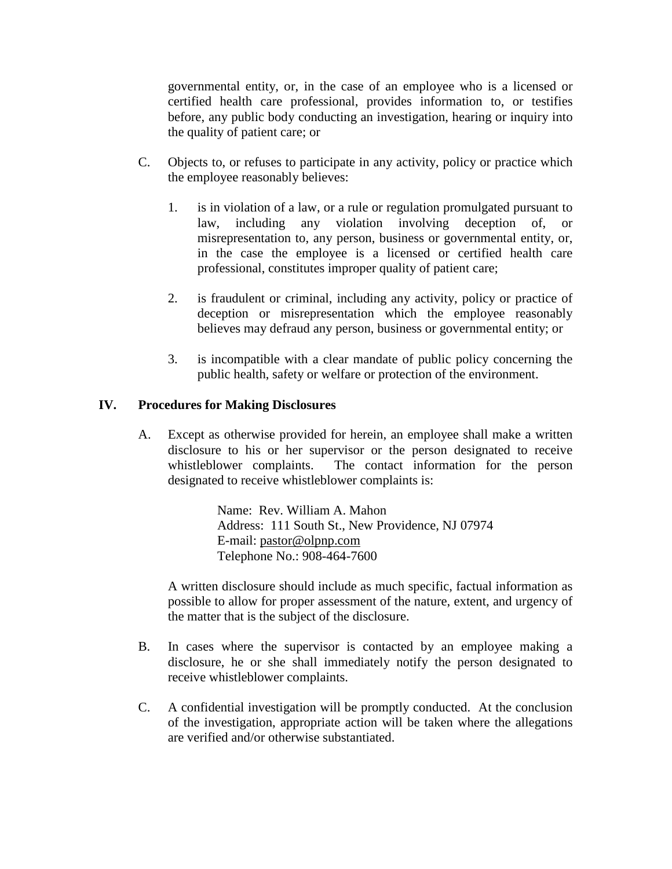governmental entity, or, in the case of an employee who is a licensed or certified health care professional, provides information to, or testifies before, any public body conducting an investigation, hearing or inquiry into the quality of patient care; or

- C. Objects to, or refuses to participate in any activity, policy or practice which the employee reasonably believes:
	- 1. is in violation of a law, or a rule or regulation promulgated pursuant to law, including any violation involving deception of, or misrepresentation to, any person, business or governmental entity, or, in the case the employee is a licensed or certified health care professional, constitutes improper quality of patient care;
	- 2. is fraudulent or criminal, including any activity, policy or practice of deception or misrepresentation which the employee reasonably believes may defraud any person, business or governmental entity; or
	- 3. is incompatible with a clear mandate of public policy concerning the public health, safety or welfare or protection of the environment.

#### **IV. Procedures for Making Disclosures**

A. Except as otherwise provided for herein, an employee shall make a written disclosure to his or her supervisor or the person designated to receive whistleblower complaints. The contact information for the person designated to receive whistleblower complaints is:

> Name: Rev. William A. Mahon Address: 111 South St., New Providence, NJ 07974 E-mail: [pastor@olpnp.com](mailto:pastor@olpnp.com) Telephone No.: 908-464-7600

A written disclosure should include as much specific, factual information as possible to allow for proper assessment of the nature, extent, and urgency of the matter that is the subject of the disclosure.

- B. In cases where the supervisor is contacted by an employee making a disclosure, he or she shall immediately notify the person designated to receive whistleblower complaints.
- C. A confidential investigation will be promptly conducted. At the conclusion of the investigation, appropriate action will be taken where the allegations are verified and/or otherwise substantiated.